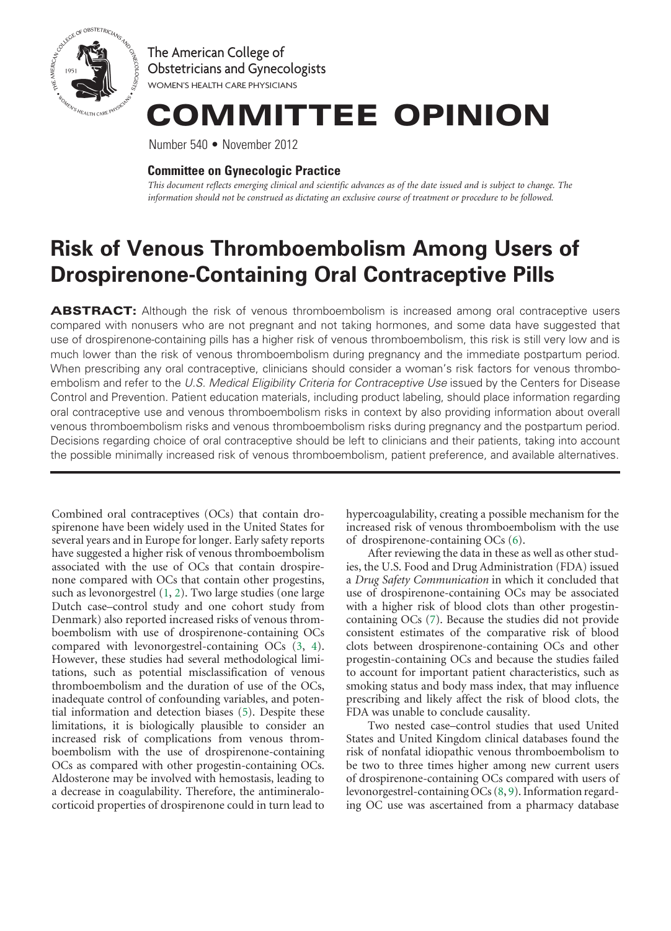

The American College of Obstetricians and Gynecologists WOMEN'S HEALTH CARE PHYSICIANS

# COMMITTEE OPINION

Number 540 • November 2012

## **Committee on Gynecologic Practice**

*This document reflects emerging clinical and scientific advances as of the date issued and is subject to change. The information should not be construed as dictating an exclusive course of treatment or procedure to be followed.*

# **Risk of Venous Thromboembolism Among Users of Drospirenone-Containing Oral Contraceptive Pills**

ABSTRACT: Although the risk of venous thromboembolism is increased among oral contraceptive users compared with nonusers who are not pregnant and not taking hormones, and some data have suggested that use of drospirenone-containing pills has a higher risk of venous thromboembolism, this risk is still very low and is much lower than the risk of venous thromboembolism during pregnancy and the immediate postpartum period. When prescribing any oral contraceptive, clinicians should consider a woman's risk factors for venous thromboembolism and refer to the *U.S. Medical Eligibility Criteria for Contraceptive Use* issued by the Centers for Disease Control and Prevention. Patient education materials, including product labeling, should place information regarding oral contraceptive use and venous thromboembolism risks in context by also providing information about overall venous thromboembolism risks and venous thromboembolism risks during pregnancy and the postpartum period. Decisions regarding choice of oral contraceptive should be left to clinicians and their patients, taking into account the possible minimally increased risk of venous thromboembolism, patient preference, and available alternatives.

<span id="page-0-2"></span><span id="page-0-1"></span><span id="page-0-0"></span>Combined oral contraceptives (OCs) that contain drospirenone have been widely used in the United States for several years and in Europe for longer. Early safety reports have suggested a higher risk of venous thromboembolism associated with the use of OCs that contain drospirenone compared with OCs that contain other progestins, such as levonorgestrel ([1,](#page-3-0) [2](#page-3-1)). Two large studies (one large Dutch case–control study and one cohort study from Denmark) also reported increased risks of venous thromboembolism with use of drospirenone-containing OCs compared with levonorgestrel-containing OCs ([3](#page-3-2), [4\)](#page-3-3). However, these studies had several methodological limitations, such as potential misclassification of venous thromboembolism and the duration of use of the OCs, inadequate control of confounding variables, and potential information and detection biases ([5](#page-3-4)). Despite these limitations, it is biologically plausible to consider an increased risk of complications from venous thromboembolism with the use of drospirenone-containing OCs as compared with other progestin-containing OCs. Aldosterone may be involved with hemostasis, leading to a decrease in coagulability. Therefore, the antimineralocorticoid properties of drospirenone could in turn lead to

hypercoagulability, creating a possible mechanism for the increased risk of venous thromboembolism with the use of drospirenone-containing OCs [\(6](#page-3-5)).

<span id="page-0-4"></span><span id="page-0-3"></span>After reviewing the data in these as well as other studies, the U.S. Food and Drug Administration (FDA) issued a *Drug Safety Communication* in which it concluded that use of drospirenone-containing OCs may be associated with a higher risk of blood clots than other progestincontaining OCs ([7](#page-3-6)). Because the studies did not provide consistent estimates of the comparative risk of blood clots between drospirenone-containing OCs and other progestin-containing OCs and because the studies failed to account for important patient characteristics, such as smoking status and body mass index, that may influence prescribing and likely affect the risk of blood clots, the FDA was unable to conclude causality.

<span id="page-0-5"></span>Two nested case–control studies that used United States and United Kingdom clinical databases found the risk of nonfatal idiopathic venous thromboembolism to be two to three times higher among new current users of drospirenone-containing OCs compared with users of levonorgestrel-containing OCs [\(8](#page-3-7), [9\)](#page-3-8). Information regarding OC use was ascertained from a pharmacy database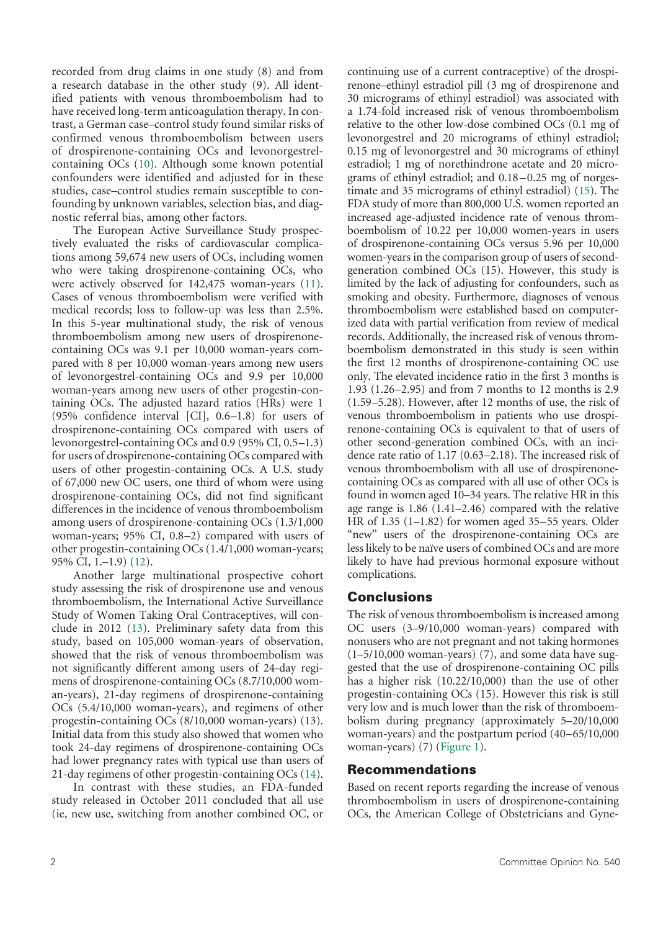recorded from drug claims in one study (8) and from a research database in the other study (9). All identified patients with venous thromboembolism had to have received long-term anticoagulation therapy. In contrast, a German case–control study found similar risks of confirmed venous thromboembolism between users of drospirenone-containing OCs and levonorgestrelcontaining OCs [\(10\)](#page-3-9). Although some known potential confounders were identified and adjusted for in these studies, case–control studies remain susceptible to confounding by unknown variables, selection bias, and diagnostic referral bias, among other factors.

<span id="page-1-6"></span><span id="page-1-1"></span>The European Active Surveillance Study prospectively evaluated the risks of cardiovascular complications among 59,674 new users of OCs, including women who were taking drospirenone-containing OCs, who were actively observed for 142,475 woman-years [\(11\)](#page-3-10). Cases of venous thromboembolism were verified with medical records; loss to follow-up was less than 2.5%. In this 5-year multinational study, the risk of venous thromboembolism among new users of drospirenonecontaining OCs was 9.1 per 10,000 woman-years compared with 8 per 10,000 woman-years among new users of levonorgestrel-containing OCs and 9.9 per 10,000 woman-years among new users of other progestin-containing OCs. The adjusted hazard ratios (HRs) were 1 (95% confidence interval [CI], 0.6–1.8) for users of drospirenone-containing OCs compared with users of levonorgestrel-containing OCs and 0.9 (95% CI, 0.5–1.3) for users of drospirenone-containing OCs compared with users of other progestin-containing OCs. A U.S. study of 67,000 new OC users, one third of whom were using drospirenone-containing OCs, did not find significant differences in the incidence of venous thromboembolism among users of drospirenone-containing OCs (1.3/1,000 woman-years; 95% CI, 0.8–2) compared with users of other progestin-containing OCs (1.4/1,000 woman-years; 95% CI, 1.–1.9) ([12](#page-3-11)).

<span id="page-1-3"></span><span id="page-1-2"></span>Another large multinational prospective cohort study assessing the risk of drospirenone use and venous thromboembolism, the International Active Surveillance Study of Women Taking Oral Contraceptives, will conclude in 2012 [\(13\)](#page-3-12). Preliminary safety data from this study, based on 105,000 woman-years of observation, showed that the risk of venous thromboembolism was not significantly different among users of 24-day regimens of drospirenone-containing OCs (8.7/10,000 woman-years), 21-day regimens of drospirenone-containing OCs (5.4/10,000 woman-years), and regimens of other progestin-containing OCs (8/10,000 woman-years) (13). Initial data from this study also showed that women who took 24-day regimens of drospirenone-containing OCs had lower pregnancy rates with typical use than users of 21-day regimens of other progestin-containing OCs [\(14\)](#page-3-13).

<span id="page-1-4"></span>In contrast with these studies, an FDA-funded study released in October 2011 concluded that all use (ie, new use, switching from another combined OC, or <span id="page-1-5"></span>continuing use of a current contraceptive) of the drospirenone–ethinyl estradiol pill (3 mg of drospirenone and 30 micrograms of ethinyl estradiol) was associated with a 1.74-fold increased risk of venous thromboembolism relative to the other low-dose combined OCs (0.1 mg of levonorgestrel and 20 micrograms of ethinyl estradiol; 0.15 mg of levonorgestrel and 30 micrograms of ethinyl estradiol; 1 mg of norethindrone acetate and 20 micrograms of ethinyl estradiol; and 0.18–0.25 mg of norgestimate and 35 micrograms of ethinyl estradiol) [\(15\)](#page-3-14). The FDA study of more than 800,000 U.S. women reported an increased age-adjusted incidence rate of venous thromboembolism of 10.22 per 10,000 women-years in users of drospirenone-containing OCs versus 5.96 per 10,000 women-years in the comparison group of users of secondgeneration combined OCs (15). However, this study is limited by the lack of adjusting for confounders, such as smoking and obesity. Furthermore, diagnoses of venous thromboembolism were established based on computerized data with partial verification from review of medical records. Additionally, the increased risk of venous thromboembolism demonstrated in this study is seen within the first 12 months of drospirenone-containing OC use only. The elevated incidence ratio in the first 3 months is 1.93 (1.26–2.95) and from 7 months to 12 months is 2.9 (1.59–5.28). However, after 12 months of use, the risk of venous thromboembolism in patients who use drospirenone-containing OCs is equivalent to that of users of other second-generation combined OCs, with an incidence rate ratio of 1.17 (0.63–2.18). The increased risk of venous thromboembolism with all use of drospirenonecontaining OCs as compared with all use of other OCs is found in women aged 10–34 years. The relative HR in this age range is 1.86 (1.41–2.46) compared with the relative HR of 1.35 (1–1.82) for women aged 35–55 years. Older "new" users of the drospirenone-containing OCs are less likely to be naïve users of combined OCs and are more likely to have had previous hormonal exposure without complications.

# **Conclusions**

The risk of venous thromboembolism is increased among OC users (3–9/10,000 woman-years) compared with nonusers who are not pregnant and not taking hormones  $(1-5/10,000$  woman-years)  $(7)$ , and some data have suggested that the use of drospirenone-containing OC pills has a higher risk (10.22/10,000) than the use of other progestin-containing OCs (15). However this risk is still very low and is much lower than the risk of thromboembolism during pregnancy (approximately 5–20/10,000 woman-years) and the postpartum period (40–65/10,000 woman-years) (7) [\(Figure 1\)](#page-2-0).

#### <span id="page-1-0"></span>Recommendations

Based on recent reports regarding the increase of venous thromboembolism in users of drospirenone-containing OCs, the American College of Obstetricians and Gyne-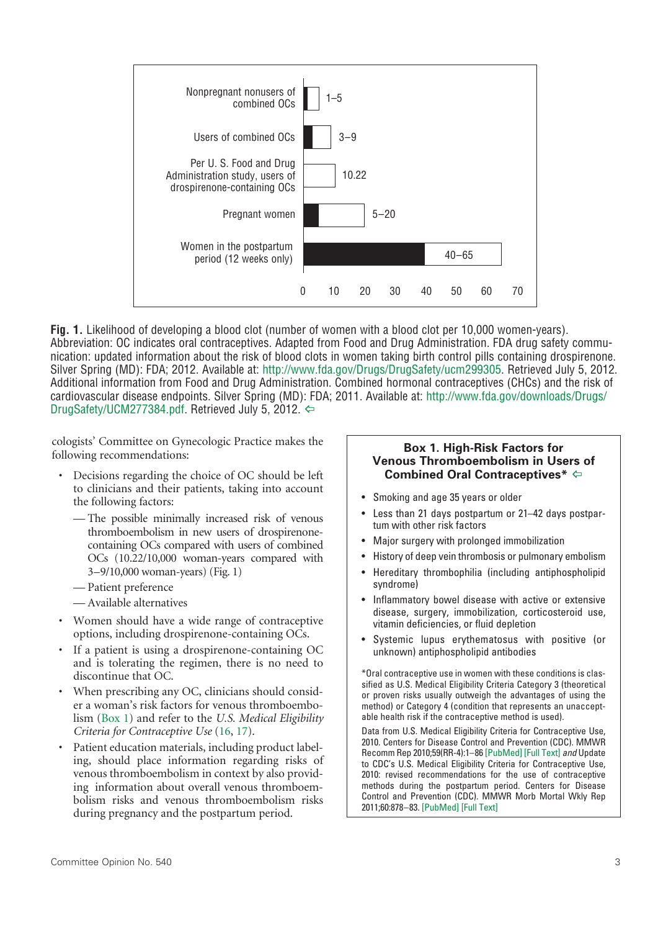<span id="page-2-0"></span>

**Fig. 1.** Likelihood of developing a blood clot (number of women with a blood clot per 10,000 women-years). Abbreviation: OC indicates oral contraceptives. Adapted from Food and Drug Administration. FDA drug safety communication: updated information about the risk of blood clots in women taking birth control pills containing drospirenone. Silver Spring (MD): FDA; 2012. Available at:<http://www.fda.gov/Drugs/DrugSafety/ucm299305>. Retrieved July 5, 2012. Additional information from Food and Drug Administration. Combined hormonal contraceptives (CHCs) and the risk of cardiovascular disease endpoints. Silver Spring (MD): FDA; 2011. Available at: [http://www.fda.gov/downloads/Drugs/](http://www.fda.gov/downloads/Drugs/DrugSafety/UCM277384.pdf) [DrugSafety/UCM277384.pdf](http://www.fda.gov/downloads/Drugs/DrugSafety/UCM277384.pdf). Retrieved July 5, 2012.  $\Leftrightarrow$ 

cologists' Committee on Gynecologic Practice makes the following recommendations:

- Decisions regarding the choice of OC should be left to clinicians and their patients, taking into account the following factors:
	- The possible minimally increased risk of venous thromboembolism in new users of drospirenonecontaining OCs compared with users of combined OCs (10.22/10,000 woman-years compared with 3–9/10,000 woman-years) (Fig. 1)
	- Patient preference
	- Available alternatives
- Women should have a wide range of contraceptive options, including drospirenone-containing OCs.
- If a patient is using a drospirenone-containing OC and is tolerating the regimen, there is no need to discontinue that OC.
- <span id="page-2-2"></span>• When prescribing any OC, clinicians should consider a woman's risk factors for venous thromboembolism [\(Box 1](#page-2-1)) and refer to the *U.S. Medical Eligibility Criteria for Contraceptive Use* [\(16,](#page-3-15) [17](#page-3-16)).
- Patient education materials, including product labeling, should place information regarding risks of venous thromboembolism in context by also providing information about overall venous thromboembolism risks and venous thromboembolism risks during pregnancy and the postpartum period.

#### <span id="page-2-1"></span>**Box 1. High-Risk Factors for Venous Thromboembolism in Users of Combined Oral Contraceptives\*** [^](#page-2-2)

- • Smoking and age 35 years or older
- • Less than 21 days postpartum or 21–42 days postpartum with other risk factors
- Major surgery with prolonged immobilization
- History of deep vein thrombosis or pulmonary embolism
- Hereditary thrombophilia (including antiphospholipid syndrome)
- Inflammatory bowel disease with active or extensive disease, surgery, immobilization, corticosteroid use, vitamin deficiencies, or fluid depletion
- • Systemic lupus erythematosus with positive (or unknown) antiphospholipid antibodies

\*Oral contraceptive use in women with these conditions is classified as U.S. Medical Eligibility Criteria Category 3 (theoretical or proven risks usually outweigh the advantages of using the method) or Category 4 (condition that represents an unacceptable health risk if the contraceptive method is used).

<span id="page-2-3"></span>Data from U.S. Medical Eligibility Criteria for Contraceptive Use, 2010. Centers for Disease Control and Prevention (CDC). MMWR Recomm Rep 2010;59(RR-4):1–86 [\[PubMed\]](http://www.ncbi.nlm.nih.gov/pubmed/20559203) [Full [Text\]](http://www.cdc.gov/mmwr/preview/mmwrhtml/rr5904a1.htm) *and* Update to CDC's U.S. Medical Eligibility Criteria for Contraceptive Use, 2010: revised recommendations for the use of contraceptive methods during the postpartum period. Centers for Disease Control and Prevention (CDC). MMWR Morb Mortal Wkly Rep 2011;60:878–83. [\[PubMed\]](http://www.ncbi.nlm.nih.gov/pubmed/21734635) [Full [Text\]](http://www.cdc.gov/mmwr/preview/mmwrhtml/mm6026a3.htm)